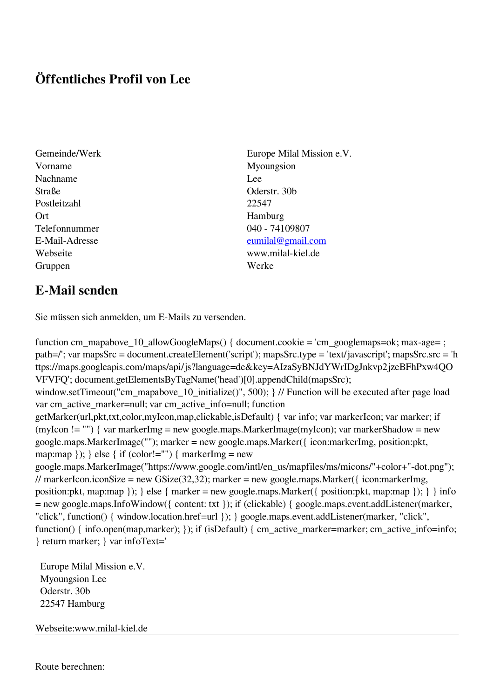## **Öffentliches Profil von Lee**

- Gemeinde/Werk Europe Milal Mission e.V. Vorname Myoungsion Nachname Lee Straße Oderstr. 30b Postleitzahl 22547 Ort Hamburg Telefonnummer 040 - 74109807 E-Mail-Adresse [eumilal@gmail.com](mailto:eumilal@gmail.com) Webseite www.milal-kiel.de Gruppen Werke
- **E-Mail senden**

Sie müssen sich anmelden, um E-Mails zu versenden.

function cm\_mapabove\_10\_allowGoogleMaps() { document.cookie = 'cm\_googlemaps=ok; max-age= ; path=/'; var mapsSrc = document.createElement('script'); mapsSrc.type = 'text/javascript'; mapsSrc.src = 'h ttps://maps.googleapis.com/maps/api/js?language=de&key=AIzaSyBNJdYWrIDgJnkvp2jzeBFhPxw4QO VFVFQ'; document.getElementsByTagName('head')[0].appendChild(mapsSrc); window.setTimeout("cm\_mapabove\_10\_initialize()", 500); } // Function will be executed after page load var cm\_active\_marker=null; var cm\_active\_info=null; function getMarker(url,pkt,txt,color,myIcon,map,clickable,isDefault) { var info; var markerIcon; var marker; if (myIcon != "") { var markerImg = new google.maps.MarkerImage(myIcon); var markerShadow = new google.maps.MarkerImage(""); marker = new google.maps.Marker({ icon:markerImg, position:pkt, map:map  $\}$ ;  $\}$  else  $\{$  if (color!="")  $\{$  markerImg = new google.maps.MarkerImage("https://www.google.com/intl/en\_us/mapfiles/ms/micons/"+color+"-dot.png"); // markerIcon.iconSize = new GSize(32,32); marker = new google.maps.Marker({ $i$ con:markerImg, position:pkt, map:map }); } else { marker = new google.maps.Marker({ position:pkt, map:map }); } } info = new google.maps.InfoWindow({ content: txt }); if (clickable) { google.maps.event.addListener(marker, "click", function() { window.location.href=url }); } google.maps.event.addListener(marker, "click", function() { info.open(map,marker); }); if (isDefault) { cm\_active\_marker=marker; cm\_active\_info=info; } return marker; } var infoText='

 Europe Milal Mission e.V. Myoungsion Lee Oderstr. 30b 22547 Hamburg

Webseite:www.milal-kiel.de

Route berechnen: